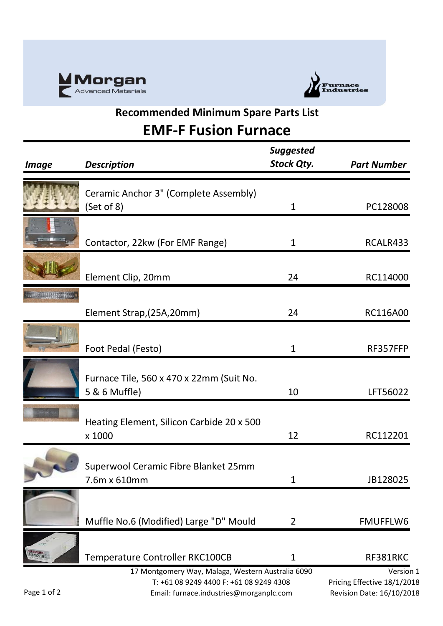



## **Recommended Minimum Spare Parts List**

## **EMF-F Fusion Furnace**

| <b>Image</b>     | <b>Description</b>                                                                                                                      | <b>Suggested</b><br><b>Stock Qty.</b> | <b>Part Number</b>                                                    |
|------------------|-----------------------------------------------------------------------------------------------------------------------------------------|---------------------------------------|-----------------------------------------------------------------------|
|                  | Ceramic Anchor 3" (Complete Assembly)<br>(Set of 8)                                                                                     | 1                                     | PC128008                                                              |
|                  | Contactor, 22kw (For EMF Range)                                                                                                         | 1                                     | RCALR433                                                              |
|                  | Element Clip, 20mm                                                                                                                      | 24                                    | RC114000                                                              |
|                  | Element Strap, (25A, 20mm)                                                                                                              | 24                                    | RC116A00                                                              |
|                  | Foot Pedal (Festo)                                                                                                                      | $\mathbf{1}$                          | RF357FFP                                                              |
|                  | Furnace Tile, 560 x 470 x 22mm (Suit No.<br>5 & 6 Muffle)                                                                               | 10                                    | LFT56022                                                              |
|                  | Heating Element, Silicon Carbide 20 x 500<br>x 1000                                                                                     | 12                                    | RC112201                                                              |
|                  | Superwool Ceramic Fibre Blanket 25mm<br>7.6m x 610mm                                                                                    | 1                                     | JB128025                                                              |
|                  | Muffle No.6 (Modified) Large "D" Mould                                                                                                  | $\overline{2}$                        | <b>FMUFFLW6</b>                                                       |
| amena<br>Grafafa | Temperature Controller RKC100CB                                                                                                         | $\mathbf 1$                           | RF381RKC                                                              |
| Page 1 of 2      | 17 Montgomery Way, Malaga, Western Australia 6090<br>T: +61 08 9249 4400 F: +61 08 9249 4308<br>Email: furnace.industries@morganplc.com |                                       | Version 1<br>Pricing Effective 18/1/2018<br>Revision Date: 16/10/2018 |